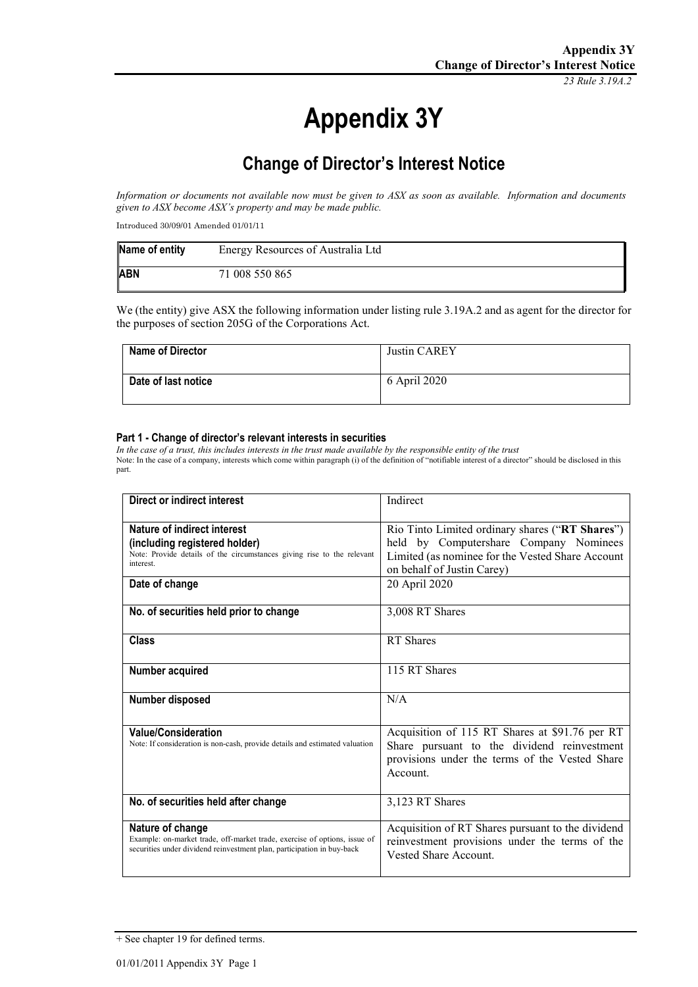*23 Rule 3.19A.2*

# **Appendix 3Y**

# **Change of Director's Interest Notice**

*Information or documents not available now must be given to ASX as soon as available. Information and documents given to ASX become ASX's property and may be made public.*

Introduced 30/09/01 Amended 01/01/11

| Name of entity | Energy Resources of Australia Ltd |
|----------------|-----------------------------------|
| <b>ABN</b>     | 71 008 550 865                    |

We (the entity) give ASX the following information under listing rule 3.19A.2 and as agent for the director for the purposes of section 205G of the Corporations Act.

| Name of Director    | Justin CAREY |
|---------------------|--------------|
| Date of last notice | 6 April 2020 |

#### **Part 1 - Change of director's relevant interests in securities**

*In the case of a trust, this includes interests in the trust made available by the responsible entity of the trust* Note: In the case of a company, interests which come within paragraph (i) of the definition of "notifiable interest of a director" should be disclosed in this part.

| Direct or indirect interest                                                                                                                                             | Indirect                                                                                                                                                                    |
|-------------------------------------------------------------------------------------------------------------------------------------------------------------------------|-----------------------------------------------------------------------------------------------------------------------------------------------------------------------------|
| <b>Nature of indirect interest</b><br>(including registered holder)<br>Note: Provide details of the circumstances giving rise to the relevant<br>interest.              | Rio Tinto Limited ordinary shares ("RT Shares")<br>held by Computershare Company Nominees<br>Limited (as nominee for the Vested Share Account<br>on behalf of Justin Carey) |
| Date of change                                                                                                                                                          | 20 April 2020                                                                                                                                                               |
| No. of securities held prior to change                                                                                                                                  | 3,008 RT Shares                                                                                                                                                             |
| Class                                                                                                                                                                   | <b>RT</b> Shares                                                                                                                                                            |
| Number acquired                                                                                                                                                         | 115 RT Shares                                                                                                                                                               |
| Number disposed                                                                                                                                                         | N/A                                                                                                                                                                         |
| <b>Value/Consideration</b><br>Note: If consideration is non-cash, provide details and estimated valuation                                                               | Acquisition of 115 RT Shares at \$91.76 per RT<br>Share pursuant to the dividend reinvestment<br>provisions under the terms of the Vested Share<br>Account.                 |
| No. of securities held after change                                                                                                                                     | 3,123 RT Shares                                                                                                                                                             |
| Nature of change<br>Example: on-market trade, off-market trade, exercise of options, issue of<br>securities under dividend reinvestment plan, participation in buy-back | Acquisition of RT Shares pursuant to the dividend<br>reinvestment provisions under the terms of the<br>Vested Share Account.                                                |

<sup>+</sup> See chapter 19 for defined terms.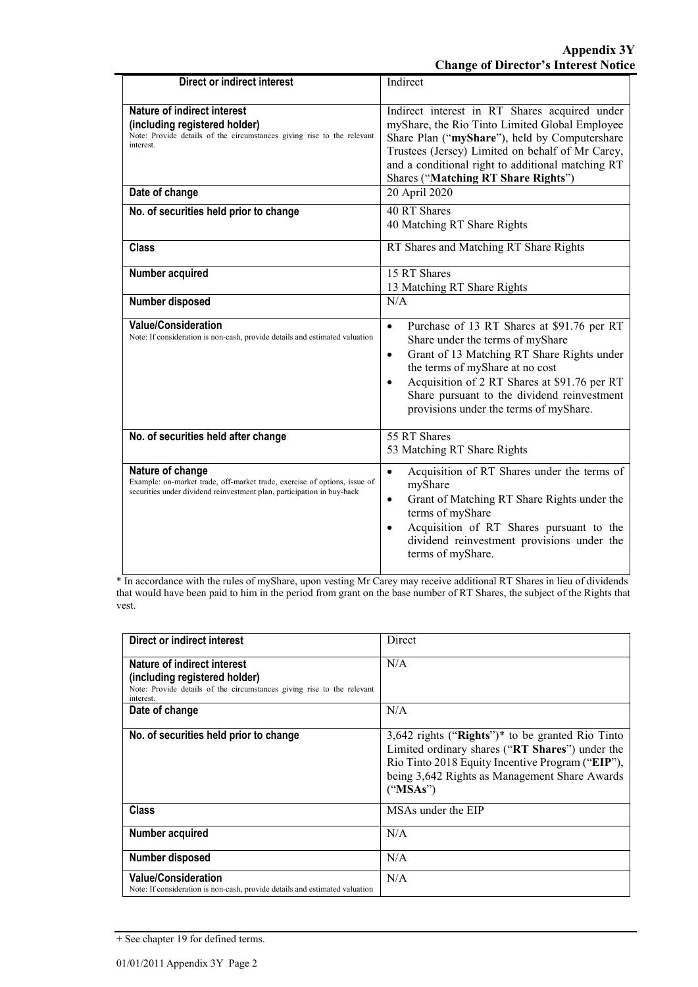| Direct or indirect interest                                                                                                                                             | Indirect                                                                                                                                                                                                                                                                                                                                        |
|-------------------------------------------------------------------------------------------------------------------------------------------------------------------------|-------------------------------------------------------------------------------------------------------------------------------------------------------------------------------------------------------------------------------------------------------------------------------------------------------------------------------------------------|
| <b>Nature of indirect interest</b><br>(including registered holder)<br>Note: Provide details of the circumstances giving rise to the relevant<br>interest.              | Indirect interest in RT Shares acquired under<br>myShare, the Rio Tinto Limited Global Employee<br>Share Plan ("myShare"), held by Computershare<br>Trustees (Jersey) Limited on behalf of Mr Carey,<br>and a conditional right to additional matching RT<br>Shares ("Matching RT Share Rights")                                                |
| Date of change                                                                                                                                                          | 20 April 2020                                                                                                                                                                                                                                                                                                                                   |
| No. of securities held prior to change                                                                                                                                  | 40 RT Shares<br>40 Matching RT Share Rights                                                                                                                                                                                                                                                                                                     |
| <b>Class</b>                                                                                                                                                            | RT Shares and Matching RT Share Rights                                                                                                                                                                                                                                                                                                          |
| Number acquired                                                                                                                                                         | 15 RT Shares<br>13 Matching RT Share Rights                                                                                                                                                                                                                                                                                                     |
| Number disposed                                                                                                                                                         | N/A                                                                                                                                                                                                                                                                                                                                             |
| <b>Value/Consideration</b><br>Note: If consideration is non-cash, provide details and estimated valuation                                                               | Purchase of 13 RT Shares at \$91.76 per RT<br>$\bullet$<br>Share under the terms of myShare<br>Grant of 13 Matching RT Share Rights under<br>$\bullet$<br>the terms of myShare at no cost<br>Acquisition of 2 RT Shares at \$91.76 per RT<br>$\bullet$<br>Share pursuant to the dividend reinvestment<br>provisions under the terms of myShare. |
| No. of securities held after change                                                                                                                                     | 55 RT Shares<br>53 Matching RT Share Rights                                                                                                                                                                                                                                                                                                     |
| Nature of change<br>Example: on-market trade, off-market trade, exercise of options, issue of<br>securities under dividend reinvestment plan, participation in buy-back | Acquisition of RT Shares under the terms of<br>$\bullet$<br>myShare<br>Grant of Matching RT Share Rights under the<br>$\bullet$<br>terms of myShare<br>Acquisition of RT Shares pursuant to the<br>$\bullet$<br>dividend reinvestment provisions under the<br>terms of myShare.                                                                 |

\* In accordance with the rules of myShare, upon vesting Mr Carey may receive additional RT Shares in lieu of dividends that would have been paid to him in the period from grant on the base number of RT Shares, the subject of the Rights that vest.

| Direct or indirect interest                                                                                                                                           | Direct                                                                                                                                                                                                               |
|-----------------------------------------------------------------------------------------------------------------------------------------------------------------------|----------------------------------------------------------------------------------------------------------------------------------------------------------------------------------------------------------------------|
| Nature of indirect interest<br>(including registered holder)<br>Note: Provide details of the circumstances giving rise to the relevant<br>interest.<br>Date of change | N/A<br>N/A                                                                                                                                                                                                           |
| No. of securities held prior to change                                                                                                                                | 3,642 rights ("Rights")* to be granted Rio Tinto<br>Limited ordinary shares ("RT Shares") under the<br>Rio Tinto 2018 Equity Incentive Program ("EIP"),<br>being 3,642 Rights as Management Share Awards<br>("MSAs") |
| <b>Class</b>                                                                                                                                                          | MSAs under the EIP                                                                                                                                                                                                   |
| Number acquired                                                                                                                                                       | N/A                                                                                                                                                                                                                  |
| Number disposed                                                                                                                                                       | N/A                                                                                                                                                                                                                  |
| <b>Value/Consideration</b><br>Note: If consideration is non-cash, provide details and estimated valuation                                                             | N/A                                                                                                                                                                                                                  |

<sup>+</sup> See chapter 19 for defined terms.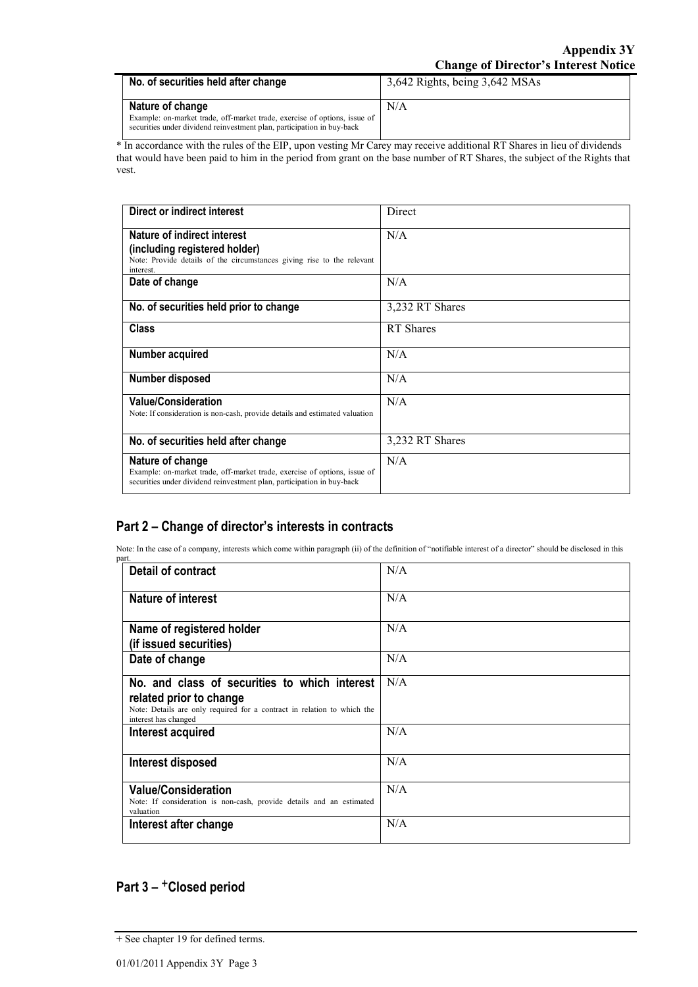| No. of securities held after change                                                                                                                                     | 3,642 Rights, being 3,642 MSAs |
|-------------------------------------------------------------------------------------------------------------------------------------------------------------------------|--------------------------------|
| Nature of change<br>Example: on-market trade, off-market trade, exercise of options, issue of<br>securities under dividend reinvestment plan, participation in buy-back | N/A                            |

\* In accordance with the rules of the EIP, upon vesting Mr Carey may receive additional RT Shares in lieu of dividends that would have been paid to him in the period from grant on the base number of RT Shares, the subject of the Rights that vest.

| Direct or indirect interest                                                                                                                                             | Direct           |
|-------------------------------------------------------------------------------------------------------------------------------------------------------------------------|------------------|
| Nature of indirect interest<br>(including registered holder)<br>Note: Provide details of the circumstances giving rise to the relevant<br>interest.                     | N/A              |
| Date of change                                                                                                                                                          | N/A              |
| No. of securities held prior to change                                                                                                                                  | 3,232 RT Shares  |
| Class                                                                                                                                                                   | <b>RT</b> Shares |
| Number acquired                                                                                                                                                         | N/A              |
| Number disposed                                                                                                                                                         | N/A              |
| <b>Value/Consideration</b><br>Note: If consideration is non-cash, provide details and estimated valuation                                                               | N/A              |
| No. of securities held after change                                                                                                                                     | 3,232 RT Shares  |
| Nature of change<br>Example: on-market trade, off-market trade, exercise of options, issue of<br>securities under dividend reinvestment plan, participation in buy-back | N/A              |

### **Part 2 – Change of director's interests in contracts**

Note: In the case of a company, interests which come within paragraph (ii) of the definition of "notifiable interest of a director" should be disclosed in this

| part.                                                                                                                                                                       |     |
|-----------------------------------------------------------------------------------------------------------------------------------------------------------------------------|-----|
| <b>Detail of contract</b>                                                                                                                                                   | N/A |
| <b>Nature of interest</b>                                                                                                                                                   | N/A |
| Name of registered holder<br>(if issued securities)                                                                                                                         | N/A |
| Date of change                                                                                                                                                              | N/A |
| No. and class of securities to which interest<br>related prior to change<br>Note: Details are only required for a contract in relation to which the<br>interest has changed | N/A |
| Interest acquired                                                                                                                                                           | N/A |
| Interest disposed                                                                                                                                                           | N/A |
| <b>Value/Consideration</b><br>Note: If consideration is non-cash, provide details and an estimated<br>valuation                                                             | N/A |
| Interest after change                                                                                                                                                       | N/A |

## **Part 3 –** +**Closed period**

<sup>+</sup> See chapter 19 for defined terms.